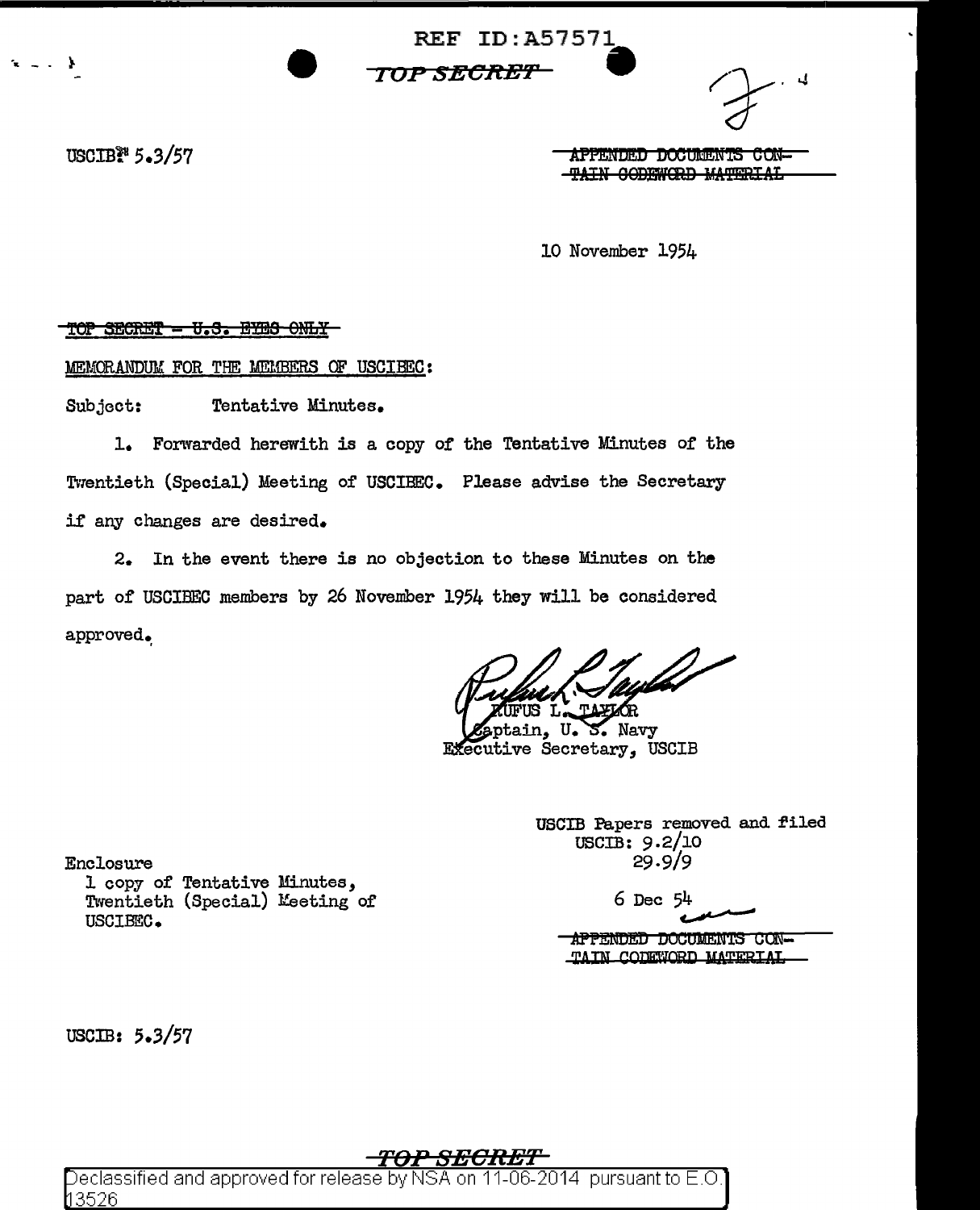**REF ID:A57571** 

TOP SECRET

USCIB<sup>28</sup> 5.3/57

J.

**APPENDED DOCUMENTS CON--TAIN CODEWORD MATERIAL** 

10 November 1954

TOP SECRET - U.S. EYES ONLY

MEMORANDUM FOR THE MEMBERS OF USCIBEC:

Subject: Tentative Minutes.

1. Forwarded herewith is a copy of the Tentative Minutes of the Twentieth (Special) Meeting of USCIBEC. Please advise the Secretary if any changes are desired.

2. In the event there is no objection to these Minutes on the part of USCIBEC members by 26 November 1954 they will be considered approved.

ain. U. S. Navy Executive Secretary, USCIB

USCIB Papers removed and filed  $USCIB: 9.2/10$  $29.9/9$ 

 $6$  Dec  $54$ 

APPENDED DOCUMENTS CON-TAIN COURTORD MATERIAL

l copy of Tentative Minutes, Twentieth (Special) Meeting of USCIBEC.

USCIB:  $5.3/57$ 

Enclosure

<del>P SECRET</del>

Declassified and approved for release by NSA on 11-06-2014  $\,$  pursuant to E.O  $\,$ l13526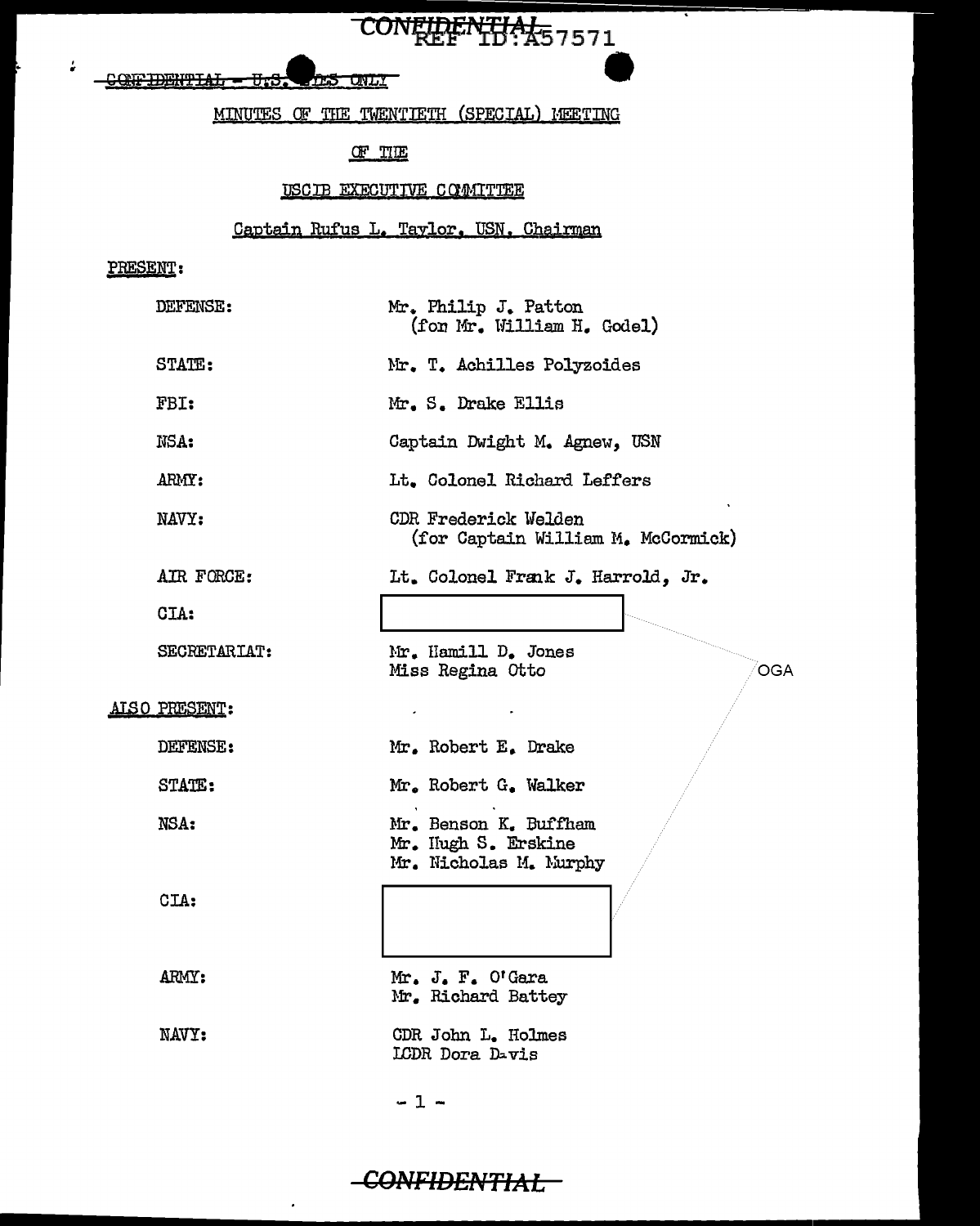CONFIDENTIAL - U.S. THE UNLY

## MINUTES OF THE TWENTIETH (SPECIAL) MEETING

CONFIDENTIAL57571

#### $CF$  THE

#### USCIB EXECUTIVE COMMITTEE

## Captain Rufus L. Taylor. USN. Chairman

### PRESENT:

 $\rlap{-}$ 

| DEFENSE:      | Mr. Philip J. Patton<br>(for Mr. William H. Godel)                     |
|---------------|------------------------------------------------------------------------|
| STATE:        | Mr. T. Achilles Polyzoides                                             |
| FBI:          | Mr. S. Drake Ellis                                                     |
| NSA:          | Captain Dwight M. Agnew, USN                                           |
| ARMY:         | Lt. Colonel Richard Leffers                                            |
| NAVY:         | CDR Frederick Welden<br>(for Captain William M. McCormick)             |
| AIR FORCE:    | Lt. Colonel Frank J. Harrold, Jr.                                      |
| CIA:          |                                                                        |
| SECRETARIAT:  | Mr. Hamill D. Jones<br>Miss Regina Otto<br>OGA                         |
| AISO PRESENT: | $\bullet$                                                              |
| DEFENSE:      | Mr. Robert E. Drake                                                    |
| STATE:        | Mr. Robert G. Walker                                                   |
| NSA:          | Mr. Benson K. Buffham<br>Mr. Hugh S. Erskine<br>Mr. Nicholas M. Murphy |
| CIA:          |                                                                        |
| ARMY:         | Mr. J. F. O'Gara<br>Mr. Richard Battey                                 |
| NAVY:         | CDR John L. Holmes<br>LCDR Dora Davis                                  |
|               |                                                                        |

### $-1 -$

l.

# -CONFIDENTIAL